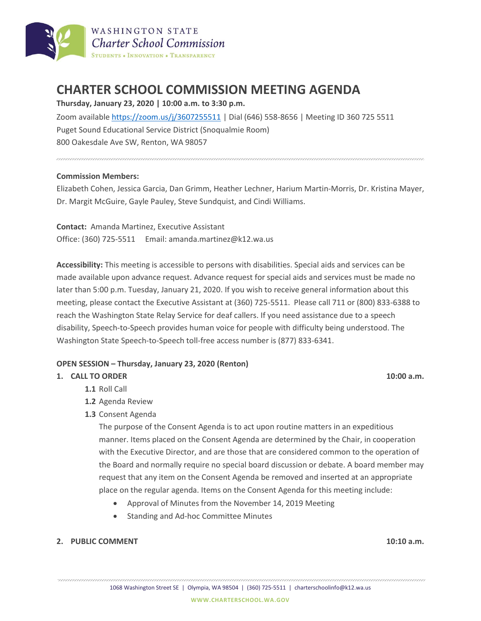

# **CHARTER SCHOOL COMMISSION MEETING AGENDA**

### **Thursday, January 23, 2020 | 10:00 a.m. to 3:30 p.m.**

Zoom available<https://zoom.us/j/3607255511> | Dial (646) 558-8656 | Meeting ID 360 725 5511 Puget Sound Educational Service District (Snoqualmie Room) 800 Oakesdale Ave SW, Renton, WA 98057

#### **Commission Members:**

Elizabeth Cohen, Jessica Garcia, Dan Grimm, Heather Lechner, Harium Martin-Morris, Dr. Kristina Mayer, Dr. Margit McGuire, Gayle Pauley, Steve Sundquist, and Cindi Williams.

**Contact:** Amanda Martinez, Executive Assistant Office: (360) 725-5511 Email: amanda.martinez@k12.wa.us

**Accessibility:** This meeting is accessible to persons with disabilities. Special aids and services can be made available upon advance request. Advance request for special aids and services must be made no later than 5:00 p.m. Tuesday, January 21, 2020. If you wish to receive general information about this meeting, please contact the Executive Assistant at (360) 725-5511. Please call 711 or (800) 833-6388 to reach the Washington State Relay Service for deaf callers. If you need assistance due to a speech disability, Speech-to-Speech provides human voice for people with difficulty being understood. The Washington State Speech-to-Speech toll-free access number is (877) 833-6341.

#### **OPEN SESSION – Thursday, January 23, 2020 (Renton)**

#### **1. CALL TO ORDER 10:00 a.m.**

**1.1** Roll Call

- **1.2** Agenda Review
- **1.3** Consent Agenda

The purpose of the Consent Agenda is to act upon routine matters in an expeditious manner. Items placed on the Consent Agenda are determined by the Chair, in cooperation with the Executive Director, and are those that are considered common to the operation of the Board and normally require no special board discussion or debate. A board member may request that any item on the Consent Agenda be removed and inserted at an appropriate place on the regular agenda. Items on the Consent Agenda for this meeting include:

- Approval of Minutes from the November 14, 2019 Meeting
- Standing and Ad-hoc Committee Minutes

#### **2. PUBLIC COMMENT 10:10 a.m.**

1068 Washington Street SE | Olympia, WA 98504 | (360) 725-5511 | charterschoolinfo@k12.wa.us